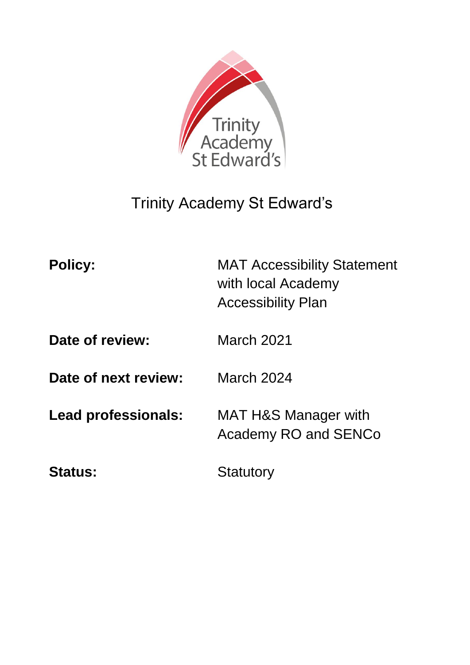

# Trinity Academy St Edward's

| <b>Policy:</b>       | <b>MAT Accessibility Statement</b><br>with local Academy<br><b>Accessibility Plan</b> |
|----------------------|---------------------------------------------------------------------------------------|
| Date of review:      | <b>March 2021</b>                                                                     |
| Date of next review: | <b>March 2024</b>                                                                     |
| Lead professionals:  | MAT H&S Manager with<br><b>Academy RO and SENCo</b>                                   |
| <b>Status:</b>       | Statutory                                                                             |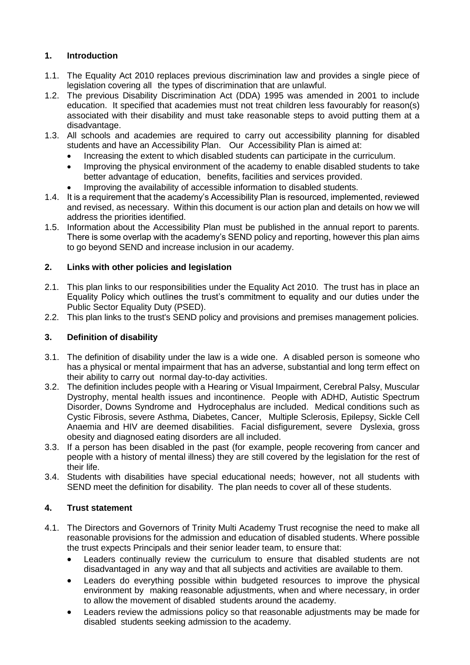# **1. Introduction**

- 1.1. The Equality Act 2010 replaces previous discrimination law and provides a single piece of legislation covering all the types of discrimination that are unlawful.
- 1.2. The previous Disability Discrimination Act (DDA) 1995 was amended in 2001 to include education. It specified that academies must not treat children less favourably for reason(s) associated with their disability and must take reasonable steps to avoid putting them at a disadvantage.
- 1.3. All schools and academies are required to carry out accessibility planning for disabled students and have an Accessibility Plan. Our Accessibility Plan is aimed at:
	- Increasing the extent to which disabled students can participate in the curriculum.
	- Improving the physical environment of the academy to enable disabled students to take better advantage of education, benefits, facilities and services provided.
	- Improving the availability of accessible information to disabled students.
- 1.4. It is a requirement that the academy's Accessibility Plan is resourced, implemented, reviewed and revised, as necessary. Within this document is our action plan and details on how we will address the priorities identified.
- 1.5. Information about the Accessibility Plan must be published in the annual report to parents. There is some overlap with the academy's SEND policy and reporting, however this plan aims to go beyond SEND and increase inclusion in our academy.

## **2. Links with other policies and legislation**

- 2.1. This plan links to our responsibilities under the Equality Act 2010. The trust has in place an Equality Policy which outlines the trust's commitment to equality and our duties under the Public Sector Equality Duty (PSED).
- 2.2. This plan links to the trust's SEND policy and provisions and premises management policies.

## **3. Definition of disability**

- 3.1. The definition of disability under the law is a wide one. A disabled person is someone who has a physical or mental impairment that has an adverse, substantial and long term effect on their ability to carry out normal day-to-day activities.
- 3.2. The definition includes people with a Hearing or Visual Impairment, Cerebral Palsy, Muscular Dystrophy, mental health issues and incontinence. People with ADHD, Autistic Spectrum Disorder, Downs Syndrome and Hydrocephalus are included. Medical conditions such as Cystic Fibrosis, severe Asthma, Diabetes, Cancer, Multiple Sclerosis, Epilepsy, Sickle Cell Anaemia and HIV are deemed disabilities. Facial disfigurement, severe Dyslexia, gross obesity and diagnosed eating disorders are all included.
- 3.3. If a person has been disabled in the past (for example, people recovering from cancer and people with a history of mental illness) they are still covered by the legislation for the rest of their life.
- 3.4. Students with disabilities have special educational needs; however, not all students with SEND meet the definition for disability. The plan needs to cover all of these students.

## **4. Trust statement**

- 4.1. The Directors and Governors of Trinity Multi Academy Trust recognise the need to make all reasonable provisions for the admission and education of disabled students. Where possible the trust expects Principals and their senior leader team, to ensure that:
	- Leaders continually review the curriculum to ensure that disabled students are not disadvantaged in any way and that all subjects and activities are available to them.
	- Leaders do everything possible within budgeted resources to improve the physical environment by making reasonable adjustments, when and where necessary, in order to allow the movement of disabled students around the academy.
	- Leaders review the admissions policy so that reasonable adjustments may be made for disabled students seeking admission to the academy.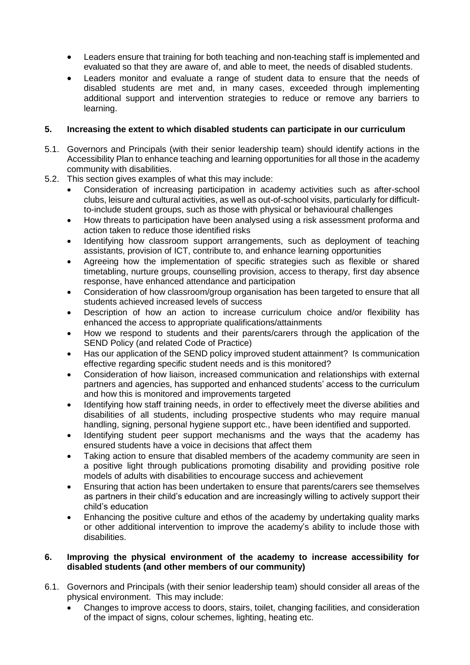- Leaders ensure that training for both teaching and non-teaching staff is implemented and evaluated so that they are aware of, and able to meet, the needs of disabled students.
- Leaders monitor and evaluate a range of student data to ensure that the needs of disabled students are met and, in many cases, exceeded through implementing additional support and intervention strategies to reduce or remove any barriers to learning.

#### **5. Increasing the extent to which disabled students can participate in our curriculum**

- 5.1. Governors and Principals (with their senior leadership team) should identify actions in the Accessibility Plan to enhance teaching and learning opportunities for all those in the academy community with disabilities.
- 5.2. This section gives examples of what this may include:
	- Consideration of increasing participation in academy activities such as after-school clubs, leisure and cultural activities, as well as out-of-school visits, particularly for difficultto-include student groups, such as those with physical or behavioural challenges
	- How threats to participation have been analysed using a risk assessment proforma and action taken to reduce those identified risks
	- Identifying how classroom support arrangements, such as deployment of teaching assistants, provision of ICT, contribute to, and enhance learning opportunities
	- Agreeing how the implementation of specific strategies such as flexible or shared timetabling, nurture groups, counselling provision, access to therapy, first day absence response, have enhanced attendance and participation
	- Consideration of how classroom/group organisation has been targeted to ensure that all students achieved increased levels of success
	- Description of how an action to increase curriculum choice and/or flexibility has enhanced the access to appropriate qualifications/attainments
	- How we respond to students and their parents/carers through the application of the SEND Policy (and related Code of Practice)
	- Has our application of the SEND policy improved student attainment? Is communication effective regarding specific student needs and is this monitored?
	- Consideration of how liaison, increased communication and relationships with external partners and agencies, has supported and enhanced students' access to the curriculum and how this is monitored and improvements targeted
	- Identifying how staff training needs, in order to effectively meet the diverse abilities and disabilities of all students, including prospective students who may require manual handling, signing, personal hygiene support etc., have been identified and supported.
	- Identifying student peer support mechanisms and the ways that the academy has ensured students have a voice in decisions that affect them
	- Taking action to ensure that disabled members of the academy community are seen in a positive light through publications promoting disability and providing positive role models of adults with disabilities to encourage success and achievement
	- Ensuring that action has been undertaken to ensure that parents/carers see themselves as partners in their child's education and are increasingly willing to actively support their child's education
	- Enhancing the positive culture and ethos of the academy by undertaking quality marks or other additional intervention to improve the academy's ability to include those with disabilities.

#### **6. Improving the physical environment of the academy to increase accessibility for disabled students (and other members of our community)**

- 6.1. Governors and Principals (with their senior leadership team) should consider all areas of the physical environment. This may include:
	- Changes to improve access to doors, stairs, toilet, changing facilities, and consideration of the impact of signs, colour schemes, lighting, heating etc.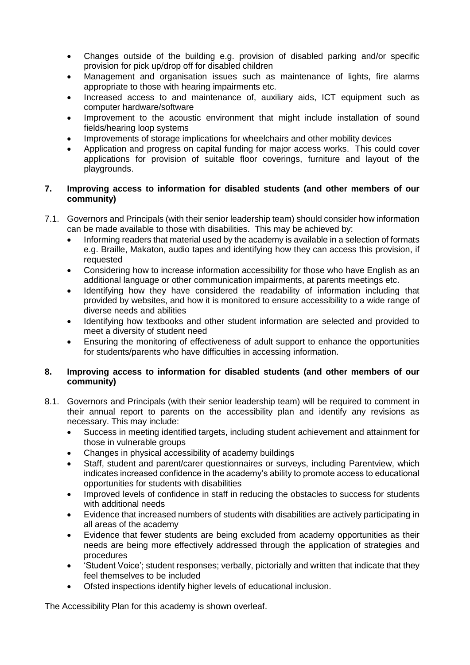- Changes outside of the building e.g. provision of disabled parking and/or specific provision for pick up/drop off for disabled children
- Management and organisation issues such as maintenance of lights, fire alarms appropriate to those with hearing impairments etc.
- Increased access to and maintenance of, auxiliary aids, ICT equipment such as computer hardware/software
- Improvement to the acoustic environment that might include installation of sound fields/hearing loop systems
- Improvements of storage implications for wheelchairs and other mobility devices
- Application and progress on capital funding for major access works. This could cover applications for provision of suitable floor coverings, furniture and layout of the playgrounds.

#### **7. Improving access to information for disabled students (and other members of our community)**

- 7.1. Governors and Principals (with their senior leadership team) should consider how information can be made available to those with disabilities. This may be achieved by:
	- Informing readers that material used by the academy is available in a selection of formats e.g. Braille, Makaton, audio tapes and identifying how they can access this provision, if requested
	- Considering how to increase information accessibility for those who have English as an additional language or other communication impairments, at parents meetings etc.
	- Identifying how they have considered the readability of information including that provided by websites, and how it is monitored to ensure accessibility to a wide range of diverse needs and abilities
	- Identifying how textbooks and other student information are selected and provided to meet a diversity of student need
	- Ensuring the monitoring of effectiveness of adult support to enhance the opportunities for students/parents who have difficulties in accessing information.

#### **8. Improving access to information for disabled students (and other members of our community)**

- 8.1. Governors and Principals (with their senior leadership team) will be required to comment in their annual report to parents on the accessibility plan and identify any revisions as necessary. This may include:
	- Success in meeting identified targets, including student achievement and attainment for those in vulnerable groups
	- Changes in physical accessibility of academy buildings
	- Staff, student and parent/carer questionnaires or surveys, including Parentview, which indicates increased confidence in the academy's ability to promote access to educational opportunities for students with disabilities
	- Improved levels of confidence in staff in reducing the obstacles to success for students with additional needs
	- Evidence that increased numbers of students with disabilities are actively participating in all areas of the academy
	- Evidence that fewer students are being excluded from academy opportunities as their needs are being more effectively addressed through the application of strategies and procedures
	- 'Student Voice'; student responses; verbally, pictorially and written that indicate that they feel themselves to be included
	- Ofsted inspections identify higher levels of educational inclusion.

The Accessibility Plan for this academy is shown overleaf.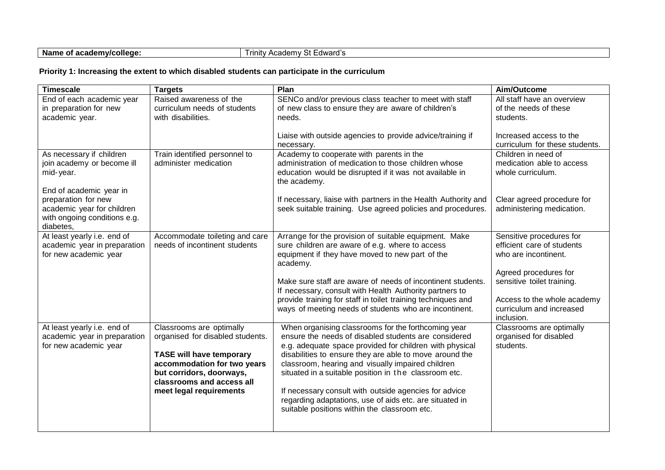| Name of academy/college: | . 04<br>' St Edward's<br>i rinity.<br>Academy |  |
|--------------------------|-----------------------------------------------|--|
|--------------------------|-----------------------------------------------|--|

## **Priority 1: Increasing the extent to which disabled students can participate in the curriculum**

| <b>Timescale</b>                                                                               | <b>Targets</b>                                                                                                                                                                                                     | Plan                                                                                                                                                                                                                                                                                                                                                                                                                                                                                                                | Aim/Outcome                                                                                             |
|------------------------------------------------------------------------------------------------|--------------------------------------------------------------------------------------------------------------------------------------------------------------------------------------------------------------------|---------------------------------------------------------------------------------------------------------------------------------------------------------------------------------------------------------------------------------------------------------------------------------------------------------------------------------------------------------------------------------------------------------------------------------------------------------------------------------------------------------------------|---------------------------------------------------------------------------------------------------------|
| End of each academic year<br>in preparation for new<br>academic year.                          | Raised awareness of the<br>curriculum needs of students<br>with disabilities.                                                                                                                                      | SENCo and/or previous class teacher to meet with staff<br>of new class to ensure they are aware of children's<br>needs.                                                                                                                                                                                                                                                                                                                                                                                             | All staff have an overview<br>of the needs of these<br>students.                                        |
|                                                                                                |                                                                                                                                                                                                                    | Liaise with outside agencies to provide advice/training if<br>necessary.                                                                                                                                                                                                                                                                                                                                                                                                                                            | Increased access to the<br>curriculum for these students.                                               |
| As necessary if children<br>join academy or become ill<br>mid-year.<br>End of academic year in | Train identified personnel to<br>administer medication                                                                                                                                                             | Academy to cooperate with parents in the<br>administration of medication to those children whose<br>education would be disrupted if it was not available in<br>the academy.                                                                                                                                                                                                                                                                                                                                         | Children in need of<br>medication able to access<br>whole curriculum.                                   |
| preparation for new<br>academic year for children<br>with ongoing conditions e.g.<br>diabetes, |                                                                                                                                                                                                                    | If necessary, liaise with partners in the Health Authority and<br>seek suitable training. Use agreed policies and procedures.                                                                                                                                                                                                                                                                                                                                                                                       | Clear agreed procedure for<br>administering medication.                                                 |
| At least yearly i.e. end of<br>academic year in preparation<br>for new academic year           | Accommodate toileting and care<br>needs of incontinent students                                                                                                                                                    | Arrange for the provision of suitable equipment. Make<br>sure children are aware of e.g. where to access<br>equipment if they have moved to new part of the<br>academy.                                                                                                                                                                                                                                                                                                                                             | Sensitive procedures for<br>efficient care of students<br>who are incontinent.<br>Agreed procedures for |
|                                                                                                |                                                                                                                                                                                                                    | Make sure staff are aware of needs of incontinent students.<br>If necessary, consult with Health Authority partners to                                                                                                                                                                                                                                                                                                                                                                                              | sensitive toilet training.                                                                              |
|                                                                                                |                                                                                                                                                                                                                    | provide training for staff in toilet training techniques and<br>ways of meeting needs of students who are incontinent.                                                                                                                                                                                                                                                                                                                                                                                              | Access to the whole academy<br>curriculum and increased<br>inclusion.                                   |
| At least yearly i.e. end of<br>academic year in preparation<br>for new academic year           | Classrooms are optimally<br>organised for disabled students.<br><b>TASE will have temporary</b><br>accommodation for two years<br>but corridors, doorways,<br>classrooms and access all<br>meet legal requirements | When organising classrooms for the forthcoming year<br>ensure the needs of disabled students are considered<br>e.g. adequate space provided for children with physical<br>disabilities to ensure they are able to move around the<br>classroom, hearing and visually impaired children<br>situated in a suitable position in the classroom etc.<br>If necessary consult with outside agencies for advice<br>regarding adaptations, use of aids etc. are situated in<br>suitable positions within the classroom etc. | Classrooms are optimally<br>organised for disabled<br>students.                                         |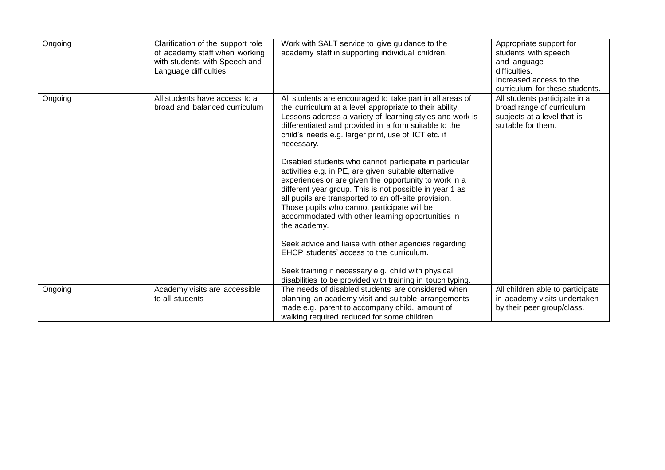| Ongoing | Clarification of the support role<br>of academy staff when working<br>with students with Speech and<br>Language difficulties | Work with SALT service to give guidance to the<br>academy staff in supporting individual children.                                                                                                                                                                                                                                                                                                                                                                                                                                                                                                                                                                                                               | Appropriate support for<br>students with speech<br>and language<br>difficulties.<br>Increased access to the<br>curriculum for these students. |
|---------|------------------------------------------------------------------------------------------------------------------------------|------------------------------------------------------------------------------------------------------------------------------------------------------------------------------------------------------------------------------------------------------------------------------------------------------------------------------------------------------------------------------------------------------------------------------------------------------------------------------------------------------------------------------------------------------------------------------------------------------------------------------------------------------------------------------------------------------------------|-----------------------------------------------------------------------------------------------------------------------------------------------|
| Ongoing | All students have access to a<br>broad and balanced curriculum                                                               | All students are encouraged to take part in all areas of<br>the curriculum at a level appropriate to their ability.<br>Lessons address a variety of learning styles and work is<br>differentiated and provided in a form suitable to the<br>child's needs e.g. larger print, use of ICT etc. if<br>necessary.<br>Disabled students who cannot participate in particular<br>activities e.g. in PE, are given suitable alternative<br>experiences or are given the opportunity to work in a<br>different year group. This is not possible in year 1 as<br>all pupils are transported to an off-site provision.<br>Those pupils who cannot participate will be<br>accommodated with other learning opportunities in | All students participate in a<br>broad range of curriculum<br>subjects at a level that is<br>suitable for them.                               |
|         |                                                                                                                              | the academy.<br>Seek advice and liaise with other agencies regarding<br>EHCP students' access to the curriculum.<br>Seek training if necessary e.g. child with physical<br>disabilities to be provided with training in touch typing.                                                                                                                                                                                                                                                                                                                                                                                                                                                                            |                                                                                                                                               |
| Ongoing | Academy visits are accessible<br>to all students                                                                             | The needs of disabled students are considered when<br>planning an academy visit and suitable arrangements<br>made e.g. parent to accompany child, amount of<br>walking required reduced for some children.                                                                                                                                                                                                                                                                                                                                                                                                                                                                                                       | All children able to participate<br>in academy visits undertaken<br>by their peer group/class.                                                |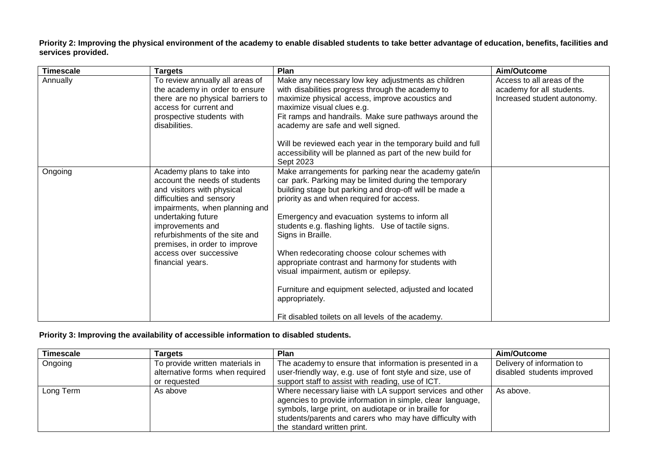Priority 2: Improving the physical environment of the academy to enable disabled students to take better advantage of education, benefits, facilities and **services provided.**

| <b>Timescale</b> | <b>Targets</b>                                                                                                                                                                                                                                                                                                     | Plan                                                                                                                                                                                                                                                                                                                                                                                                                                                                                                                                                                                                                                    | Aim/Outcome                                                                            |
|------------------|--------------------------------------------------------------------------------------------------------------------------------------------------------------------------------------------------------------------------------------------------------------------------------------------------------------------|-----------------------------------------------------------------------------------------------------------------------------------------------------------------------------------------------------------------------------------------------------------------------------------------------------------------------------------------------------------------------------------------------------------------------------------------------------------------------------------------------------------------------------------------------------------------------------------------------------------------------------------------|----------------------------------------------------------------------------------------|
| Annually         | To review annually all areas of<br>the academy in order to ensure<br>there are no physical barriers to<br>access for current and<br>prospective students with<br>disabilities.                                                                                                                                     | Make any necessary low key adjustments as children<br>with disabilities progress through the academy to<br>maximize physical access, improve acoustics and<br>maximize visual clues e.g.<br>Fit ramps and handrails. Make sure pathways around the<br>academy are safe and well signed.<br>Will be reviewed each year in the temporary build and full<br>accessibility will be planned as part of the new build for<br>Sept 2023                                                                                                                                                                                                        | Access to all areas of the<br>academy for all students.<br>Increased student autonomy. |
| Ongoing          | Academy plans to take into<br>account the needs of students<br>and visitors with physical<br>difficulties and sensory<br>impairments, when planning and<br>undertaking future<br>improvements and<br>refurbishments of the site and<br>premises, in order to improve<br>access over successive<br>financial years. | Make arrangements for parking near the academy gate/in<br>car park. Parking may be limited during the temporary<br>building stage but parking and drop-off will be made a<br>priority as and when required for access.<br>Emergency and evacuation systems to inform all<br>students e.g. flashing lights. Use of tactile signs.<br>Signs in Braille.<br>When redecorating choose colour schemes with<br>appropriate contrast and harmony for students with<br>visual impairment, autism or epilepsy.<br>Furniture and equipment selected, adjusted and located<br>appropriately.<br>Fit disabled toilets on all levels of the academy. |                                                                                        |

#### **Priority 3: Improving the availability of accessible information to disabled students.**

| <b>Timescale</b> | Targets                         | <b>Plan</b>                                                | Aim/Outcome                |
|------------------|---------------------------------|------------------------------------------------------------|----------------------------|
| Ongoing          | To provide written materials in | The academy to ensure that information is presented in a   | Delivery of information to |
|                  | alternative forms when required | user-friendly way, e.g. use of font style and size, use of | disabled students improved |
|                  | or requested                    | support staff to assist with reading, use of ICT.          |                            |
| Long Term        | As above                        | Where necessary liaise with LA support services and other  | As above.                  |
|                  |                                 | agencies to provide information in simple, clear language, |                            |
|                  |                                 | symbols, large print, on audiotape or in braille for       |                            |
|                  |                                 | students/parents and carers who may have difficulty with   |                            |
|                  |                                 | the standard written print.                                |                            |